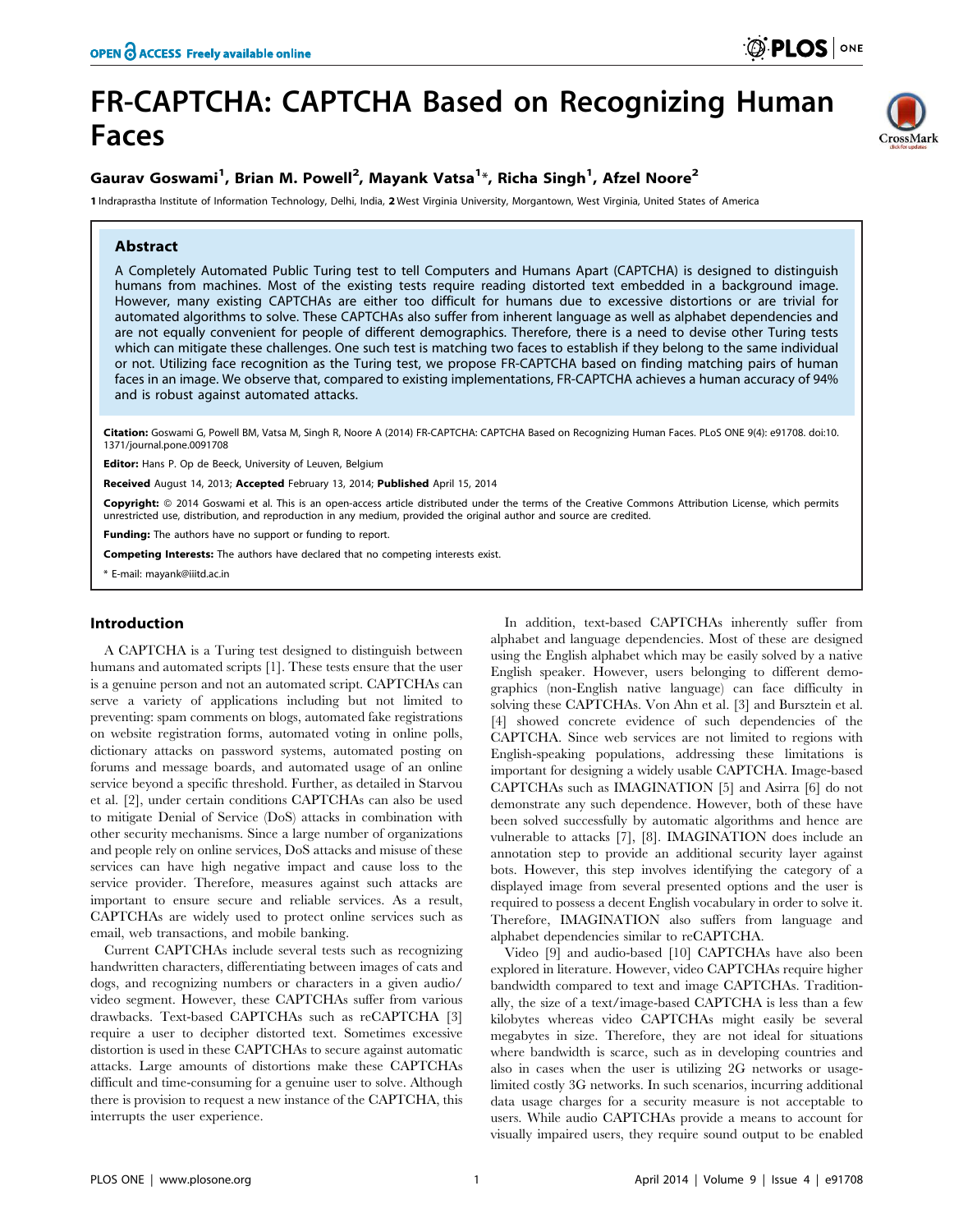CrossMark

# FR-CAPTCHA: CAPTCHA Based on Recognizing Human Faces

# Gaurav Goswami<sup>1</sup>, Brian M. Powell<sup>2</sup>, Mayank Vatsa<sup>1</sup>\*, Richa Singh<sup>1</sup>, Afzel Noore<sup>2</sup>

1 Indraprastha Institute of Information Technology, Delhi, India, 2 West Virginia University, Morgantown, West Virginia, United States of America

# Abstract

A Completely Automated Public Turing test to tell Computers and Humans Apart (CAPTCHA) is designed to distinguish humans from machines. Most of the existing tests require reading distorted text embedded in a background image. However, many existing CAPTCHAs are either too difficult for humans due to excessive distortions or are trivial for automated algorithms to solve. These CAPTCHAs also suffer from inherent language as well as alphabet dependencies and are not equally convenient for people of different demographics. Therefore, there is a need to devise other Turing tests which can mitigate these challenges. One such test is matching two faces to establish if they belong to the same individual or not. Utilizing face recognition as the Turing test, we propose FR-CAPTCHA based on finding matching pairs of human faces in an image. We observe that, compared to existing implementations, FR-CAPTCHA achieves a human accuracy of 94% and is robust against automated attacks.

Citation: Goswami G, Powell BM, Vatsa M, Singh R, Noore A (2014) FR-CAPTCHA: CAPTCHA Based on Recognizing Human Faces. PLoS ONE 9(4): e91708. doi:10. 1371/journal.pone.0091708

Editor: Hans P. Op de Beeck, University of Leuven, Belgium

Received August 14, 2013; Accepted February 13, 2014; Published April 15, 2014

Copyright: © 2014 Goswami et al. This is an open-access article distributed under the terms of the Creative Commons Attribution License, which permits unrestricted use, distribution, and reproduction in any medium, provided the original author and source are credited.

Funding: The authors have no support or funding to report.

Competing Interests: The authors have declared that no competing interests exist.

E-mail: mayank@iiitd.ac.in

### Introduction

A CAPTCHA is a Turing test designed to distinguish between humans and automated scripts [1]. These tests ensure that the user is a genuine person and not an automated script. CAPTCHAs can serve a variety of applications including but not limited to preventing: spam comments on blogs, automated fake registrations on website registration forms, automated voting in online polls, dictionary attacks on password systems, automated posting on forums and message boards, and automated usage of an online service beyond a specific threshold. Further, as detailed in Starvou et al. [2], under certain conditions CAPTCHAs can also be used to mitigate Denial of Service (DoS) attacks in combination with other security mechanisms. Since a large number of organizations and people rely on online services, DoS attacks and misuse of these services can have high negative impact and cause loss to the service provider. Therefore, measures against such attacks are important to ensure secure and reliable services. As a result, CAPTCHAs are widely used to protect online services such as email, web transactions, and mobile banking.

Current CAPTCHAs include several tests such as recognizing handwritten characters, differentiating between images of cats and dogs, and recognizing numbers or characters in a given audio/ video segment. However, these CAPTCHAs suffer from various drawbacks. Text-based CAPTCHAs such as reCAPTCHA [3] require a user to decipher distorted text. Sometimes excessive distortion is used in these CAPTCHAs to secure against automatic attacks. Large amounts of distortions make these CAPTCHAs difficult and time-consuming for a genuine user to solve. Although there is provision to request a new instance of the CAPTCHA, this interrupts the user experience.

In addition, text-based CAPTCHAs inherently suffer from alphabet and language dependencies. Most of these are designed using the English alphabet which may be easily solved by a native English speaker. However, users belonging to different demographics (non-English native language) can face difficulty in solving these CAPTCHAs. Von Ahn et al. [3] and Bursztein et al. [4] showed concrete evidence of such dependencies of the CAPTCHA. Since web services are not limited to regions with English-speaking populations, addressing these limitations is important for designing a widely usable CAPTCHA. Image-based CAPTCHAs such as IMAGINATION [5] and Asirra [6] do not demonstrate any such dependence. However, both of these have been solved successfully by automatic algorithms and hence are vulnerable to attacks [7], [8]. IMAGINATION does include an annotation step to provide an additional security layer against bots. However, this step involves identifying the category of a displayed image from several presented options and the user is required to possess a decent English vocabulary in order to solve it. Therefore, IMAGINATION also suffers from language and alphabet dependencies similar to reCAPTCHA.

Video [9] and audio-based [10] CAPTCHAs have also been explored in literature. However, video CAPTCHAs require higher bandwidth compared to text and image CAPTCHAs. Traditionally, the size of a text/image-based CAPTCHA is less than a few kilobytes whereas video CAPTCHAs might easily be several megabytes in size. Therefore, they are not ideal for situations where bandwidth is scarce, such as in developing countries and also in cases when the user is utilizing 2G networks or usagelimited costly 3G networks. In such scenarios, incurring additional data usage charges for a security measure is not acceptable to users. While audio CAPTCHAs provide a means to account for visually impaired users, they require sound output to be enabled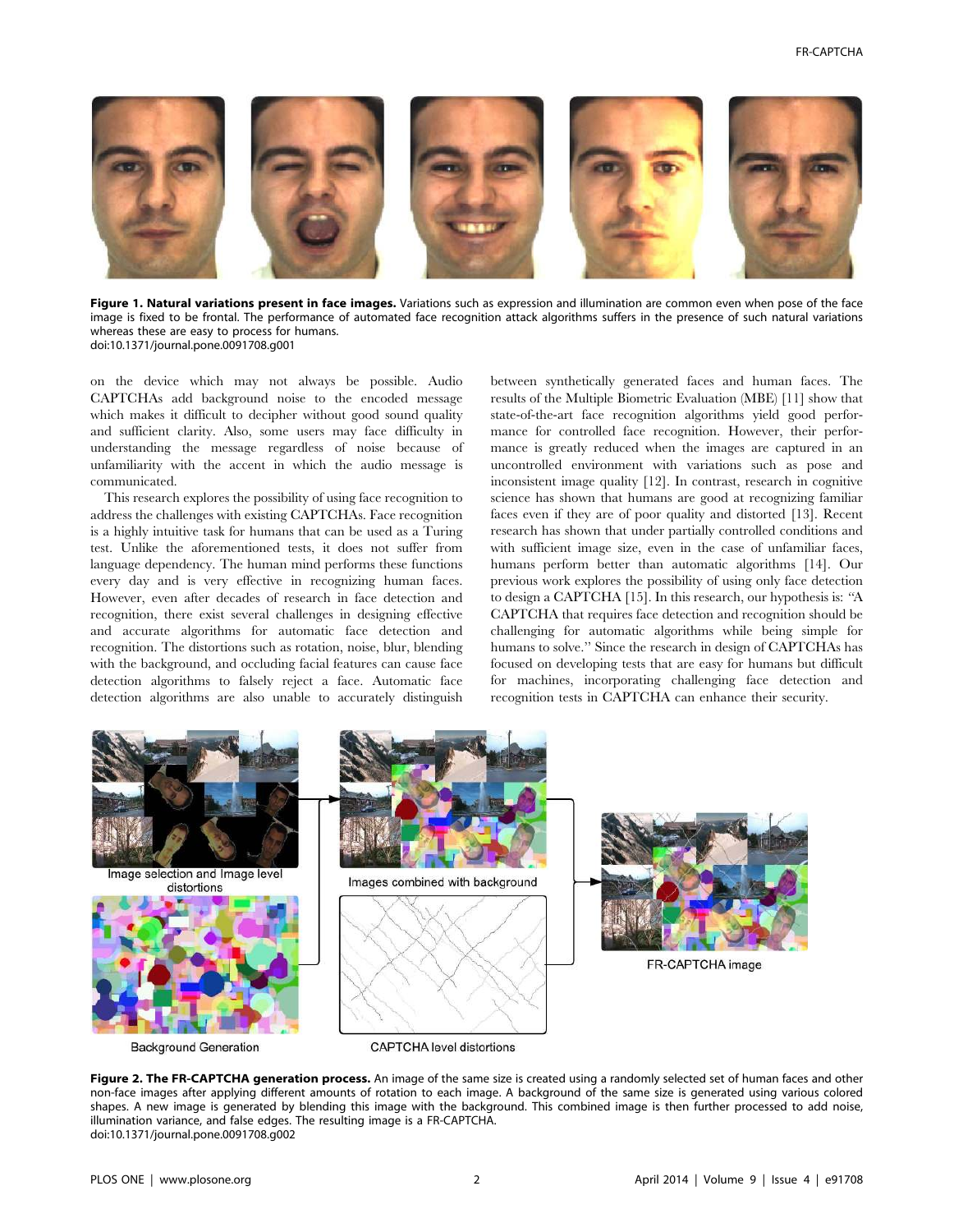

Figure 1. Natural variations present in face images. Variations such as expression and illumination are common even when pose of the face image is fixed to be frontal. The performance of automated face recognition attack algorithms suffers in the presence of such natural variations whereas these are easy to process for humans. doi:10.1371/journal.pone.0091708.g001

on the device which may not always be possible. Audio CAPTCHAs add background noise to the encoded message which makes it difficult to decipher without good sound quality and sufficient clarity. Also, some users may face difficulty in understanding the message regardless of noise because of unfamiliarity with the accent in which the audio message is communicated.

This research explores the possibility of using face recognition to address the challenges with existing CAPTCHAs. Face recognition is a highly intuitive task for humans that can be used as a Turing test. Unlike the aforementioned tests, it does not suffer from language dependency. The human mind performs these functions every day and is very effective in recognizing human faces. However, even after decades of research in face detection and recognition, there exist several challenges in designing effective and accurate algorithms for automatic face detection and recognition. The distortions such as rotation, noise, blur, blending with the background, and occluding facial features can cause face detection algorithms to falsely reject a face. Automatic face detection algorithms are also unable to accurately distinguish

between synthetically generated faces and human faces. The results of the Multiple Biometric Evaluation (MBE) [11] show that state-of-the-art face recognition algorithms yield good performance for controlled face recognition. However, their performance is greatly reduced when the images are captured in an uncontrolled environment with variations such as pose and inconsistent image quality [12]. In contrast, research in cognitive science has shown that humans are good at recognizing familiar faces even if they are of poor quality and distorted [13]. Recent research has shown that under partially controlled conditions and with sufficient image size, even in the case of unfamiliar faces, humans perform better than automatic algorithms [14]. Our previous work explores the possibility of using only face detection to design a CAPTCHA [15]. In this research, our hypothesis is: ''A CAPTCHA that requires face detection and recognition should be challenging for automatic algorithms while being simple for humans to solve.'' Since the research in design of CAPTCHAs has focused on developing tests that are easy for humans but difficult for machines, incorporating challenging face detection and recognition tests in CAPTCHA can enhance their security.



Figure 2. The FR-CAPTCHA generation process. An image of the same size is created using a randomly selected set of human faces and other non-face images after applying different amounts of rotation to each image. A background of the same size is generated using various colored shapes. A new image is generated by blending this image with the background. This combined image is then further processed to add noise, illumination variance, and false edges. The resulting image is a FR-CAPTCHA. doi:10.1371/journal.pone.0091708.g002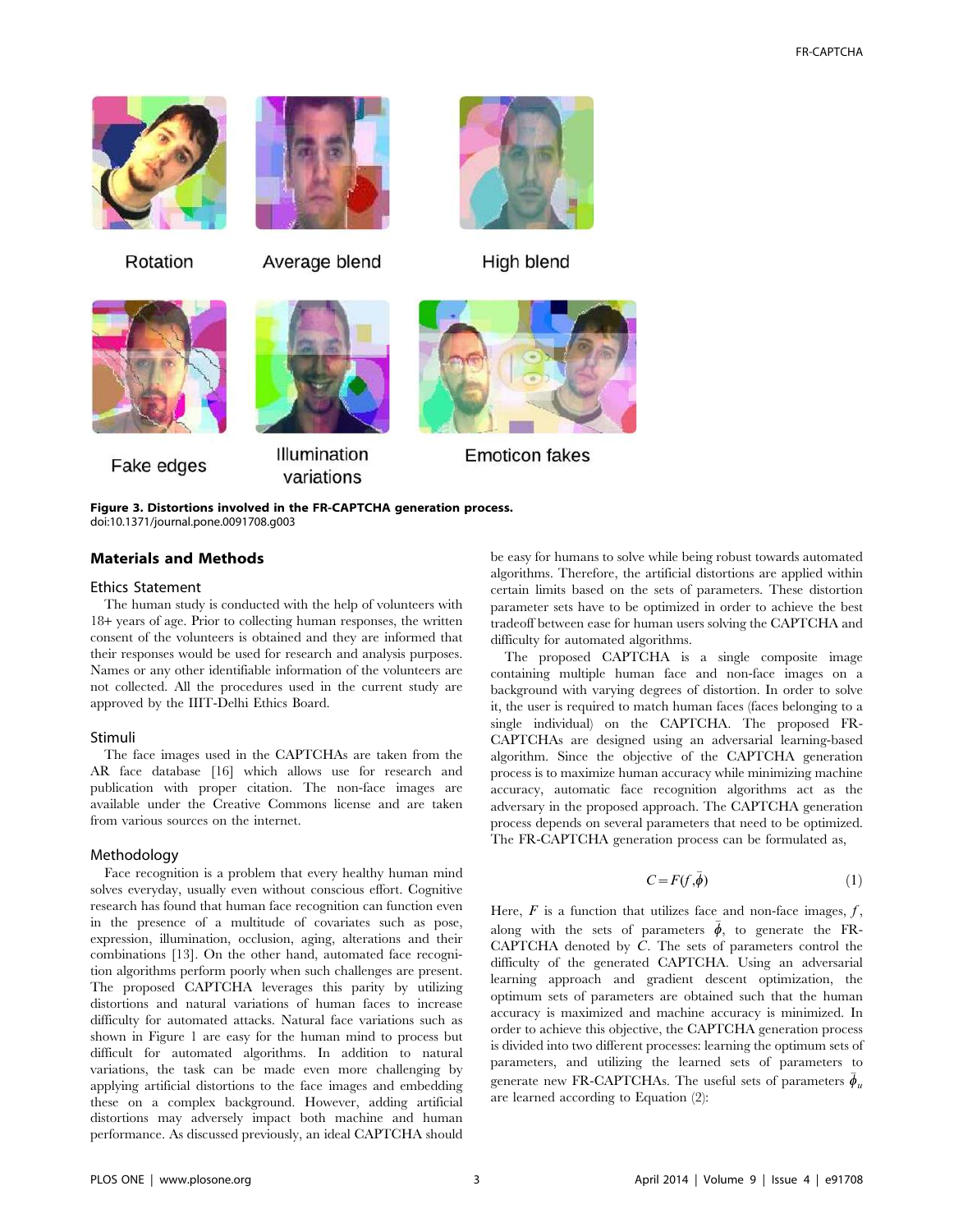

Rotation



Fake edges



Average blend



High blend



**Emoticon fakes** 

Figure 3. Distortions involved in the FR-CAPTCHA generation process. doi:10.1371/journal.pone.0091708.g003

Illumination

variations

# Materials and Methods

#### Ethics Statement

The human study is conducted with the help of volunteers with 18+ years of age. Prior to collecting human responses, the written consent of the volunteers is obtained and they are informed that their responses would be used for research and analysis purposes. Names or any other identifiable information of the volunteers are not collected. All the procedures used in the current study are approved by the IIIT-Delhi Ethics Board.

#### Stimuli

The face images used in the CAPTCHAs are taken from the AR face database [16] which allows use for research and publication with proper citation. The non-face images are available under the Creative Commons license and are taken from various sources on the internet.

# Methodology

Face recognition is a problem that every healthy human mind solves everyday, usually even without conscious effort. Cognitive research has found that human face recognition can function even in the presence of a multitude of covariates such as pose, expression, illumination, occlusion, aging, alterations and their combinations [13]. On the other hand, automated face recognition algorithms perform poorly when such challenges are present. The proposed CAPTCHA leverages this parity by utilizing distortions and natural variations of human faces to increase difficulty for automated attacks. Natural face variations such as shown in Figure 1 are easy for the human mind to process but difficult for automated algorithms. In addition to natural variations, the task can be made even more challenging by applying artificial distortions to the face images and embedding these on a complex background. However, adding artificial distortions may adversely impact both machine and human performance. As discussed previously, an ideal CAPTCHA should

be easy for humans to solve while being robust towards automated algorithms. Therefore, the artificial distortions are applied within certain limits based on the sets of parameters. These distortion parameter sets have to be optimized in order to achieve the best tradeoff between ease for human users solving the CAPTCHA and difficulty for automated algorithms.

The proposed CAPTCHA is a single composite image containing multiple human face and non-face images on a background with varying degrees of distortion. In order to solve it, the user is required to match human faces (faces belonging to a single individual) on the CAPTCHA. The proposed FR-CAPTCHAs are designed using an adversarial learning-based algorithm. Since the objective of the CAPTCHA generation process is to maximize human accuracy while minimizing machine accuracy, automatic face recognition algorithms act as the adversary in the proposed approach. The CAPTCHA generation process depends on several parameters that need to be optimized. The FR-CAPTCHA generation process can be formulated as,

$$
C = F(f, \bar{\phi}) \tag{1}
$$

Here,  $F$  is a function that utilizes face and non-face images,  $f$ , along with the sets of parameters  $\overline{\phi}$ , to generate the FR-CAPTCHA denoted by C. The sets of parameters control the difficulty of the generated CAPTCHA. Using an adversarial learning approach and gradient descent optimization, the optimum sets of parameters are obtained such that the human accuracy is maximized and machine accuracy is minimized. In order to achieve this objective, the CAPTCHA generation process is divided into two different processes: learning the optimum sets of parameters, and utilizing the learned sets of parameters to generate new FR-CAPTCHAs. The useful sets of parameters  $\bar{\phi}_u$ are learned according to Equation (2):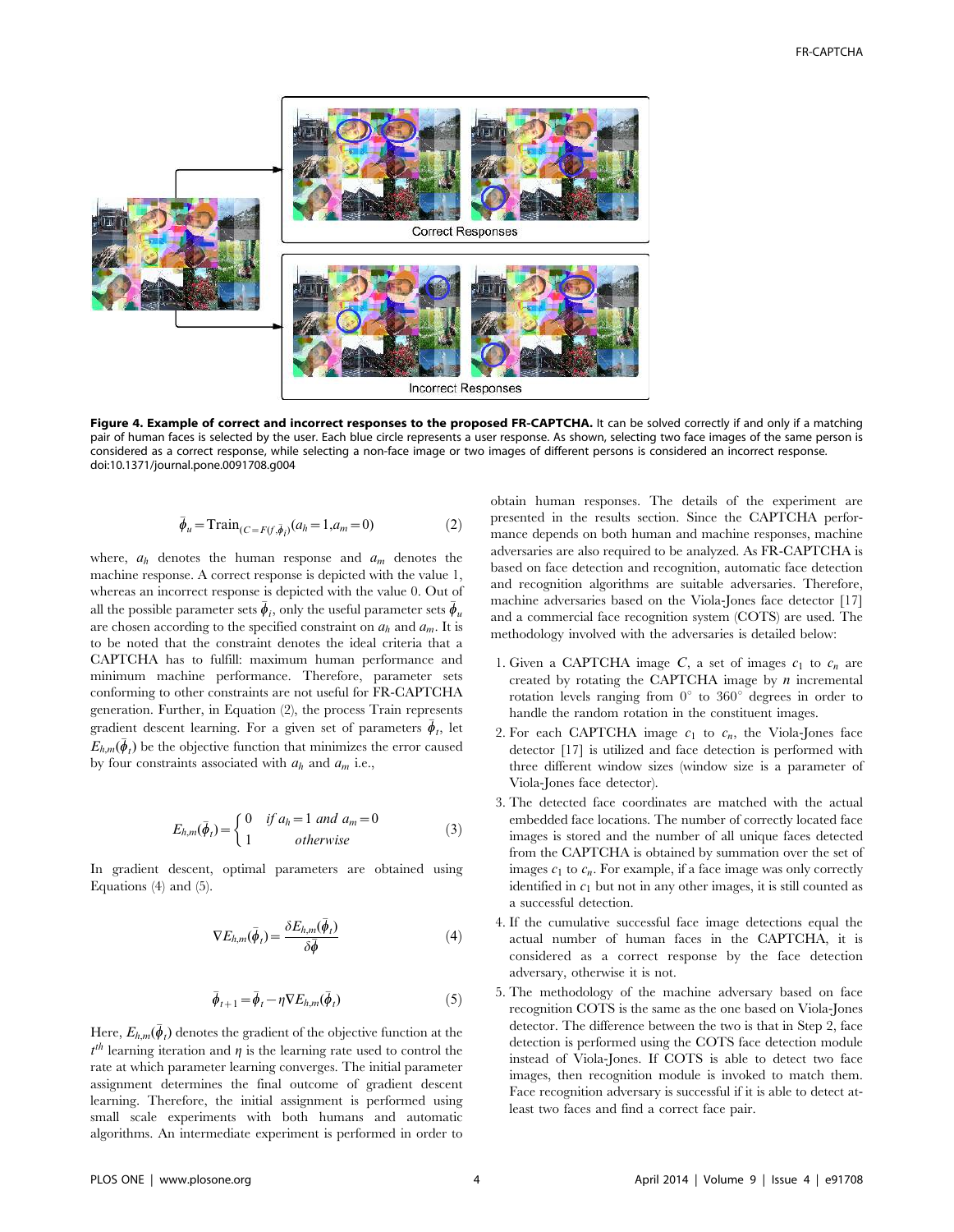

Figure 4. Example of correct and incorrect responses to the proposed FR-CAPTCHA. It can be solved correctly if and only if a matching pair of human faces is selected by the user. Each blue circle represents a user response. As shown, selecting two face images of the same person is considered as a correct response, while selecting a non-face image or two images of different persons is considered an incorrect response. doi:10.1371/journal.pone.0091708.g004

$$
\bar{\phi}_u = \text{Train}_{(C = F(f, \bar{\phi}_i)}(a_h = 1, a_m = 0)
$$
\n(2)

where,  $a_h$  denotes the human response and  $a_m$  denotes the machine response. A correct response is depicted with the value 1, whereas an incorrect response is depicted with the value 0. Out of all the possible parameter sets  $\bar{\phi}_i$ , only the useful parameter sets  $\bar{\phi}_u$ are chosen according to the specified constraint on  $a_h$  and  $a_m$ . It is to be noted that the constraint denotes the ideal criteria that a CAPTCHA has to fulfill: maximum human performance and minimum machine performance. Therefore, parameter sets conforming to other constraints are not useful for FR-CAPTCHA generation. Further, in Equation (2), the process Train represents gradient descent learning. For a given set of parameters  $\bar{\phi}_t$ , let  $E_{h,m}(\bar{\phi}_t)$  be the objective function that minimizes the error caused by four constraints associated with  $a_h$  and  $a_m$  i.e.,

$$
E_{h,m}(\bar{\phi}_t) = \begin{cases} 0 & \text{if } a_h = 1 \text{ and } a_m = 0\\ 1 & \text{otherwise} \end{cases}
$$
 (3)

In gradient descent, optimal parameters are obtained using Equations (4) and (5).

$$
\nabla E_{h,m}(\bar{\phi}_t) = \frac{\delta E_{h,m}(\bar{\phi}_t)}{\delta \bar{\phi}} \tag{4}
$$

$$
\bar{\phi}_{t+1} = \bar{\phi}_t - \eta \nabla E_{h,m}(\bar{\phi}_t)
$$
\n(5)

Here,  $E_{h,m}(\bar{\phi}_t)$  denotes the gradient of the objective function at the  $t<sup>th</sup>$  learning iteration and  $\eta$  is the learning rate used to control the rate at which parameter learning converges. The initial parameter assignment determines the final outcome of gradient descent learning. Therefore, the initial assignment is performed using small scale experiments with both humans and automatic algorithms. An intermediate experiment is performed in order to obtain human responses. The details of the experiment are presented in the results section. Since the CAPTCHA performance depends on both human and machine responses, machine adversaries are also required to be analyzed. As FR-CAPTCHA is based on face detection and recognition, automatic face detection and recognition algorithms are suitable adversaries. Therefore, machine adversaries based on the Viola-Jones face detector [17] and a commercial face recognition system (COTS) are used. The methodology involved with the adversaries is detailed below:

- 1. Given a CAPTCHA image C, a set of images  $c_1$  to  $c_n$  are created by rotating the CAPTCHA image by  $n$  incremental rotation levels ranging from  $0^{\circ}$  to  $360^{\circ}$  degrees in order to handle the random rotation in the constituent images.
- 2. For each CAPTCHA image  $c_1$  to  $c_n$ , the Viola-Jones face detector [17] is utilized and face detection is performed with three different window sizes (window size is a parameter of Viola-Jones face detector).
- 3. The detected face coordinates are matched with the actual embedded face locations. The number of correctly located face images is stored and the number of all unique faces detected from the CAPTCHA is obtained by summation over the set of images  $c_1$  to  $c_n$ . For example, if a face image was only correctly identified in  $c_1$  but not in any other images, it is still counted as a successful detection.
- 4. If the cumulative successful face image detections equal the actual number of human faces in the CAPTCHA, it is considered as a correct response by the face detection adversary, otherwise it is not.
- 5. The methodology of the machine adversary based on face recognition COTS is the same as the one based on Viola-Jones detector. The difference between the two is that in Step 2, face detection is performed using the COTS face detection module instead of Viola-Jones. If COTS is able to detect two face images, then recognition module is invoked to match them. Face recognition adversary is successful if it is able to detect atleast two faces and find a correct face pair.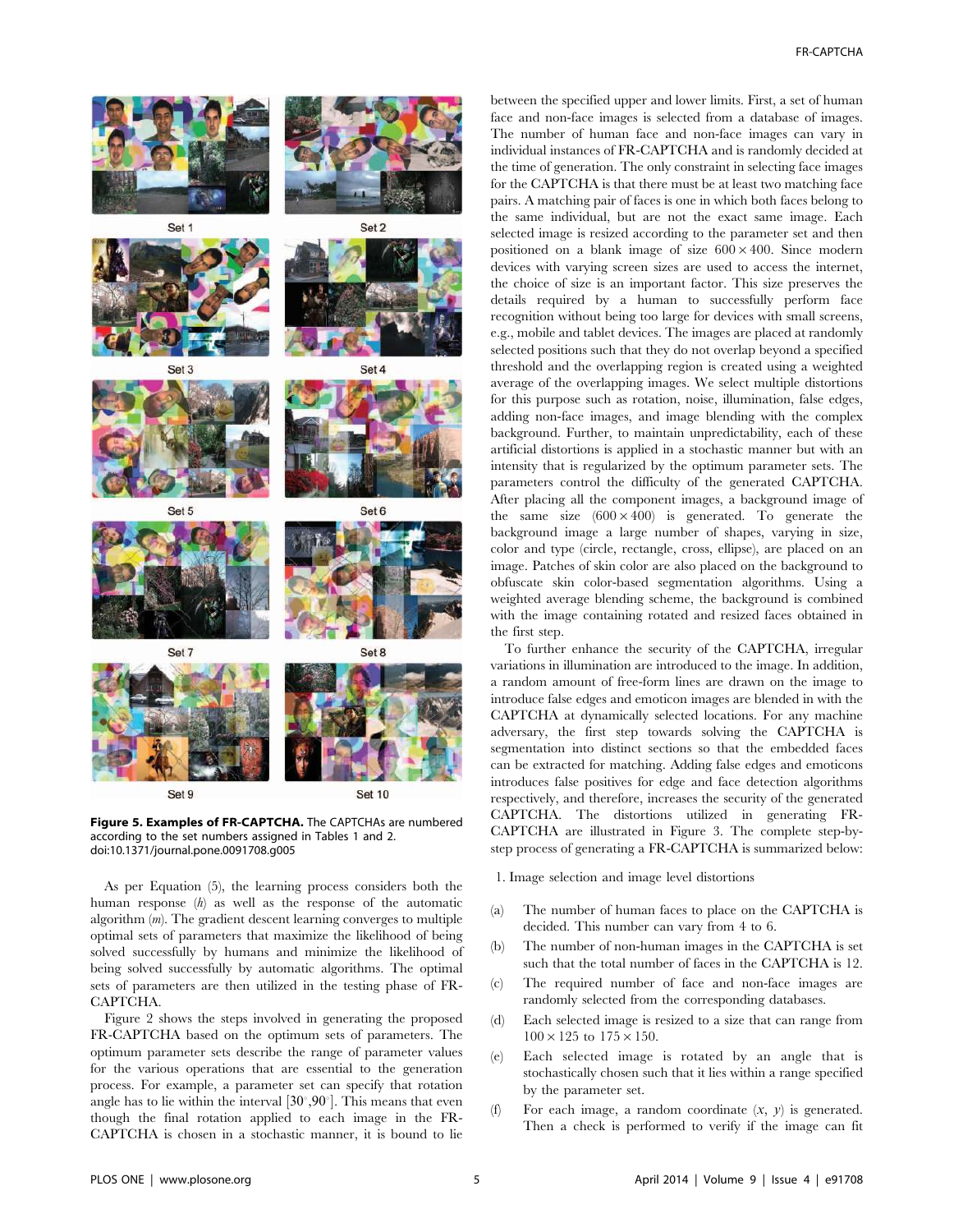#### FR-CAPTCHA



Figure 5. Examples of FR-CAPTCHA. The CAPTCHAs are numbered according to the set numbers assigned in Tables 1 and 2. doi:10.1371/journal.pone.0091708.g005

As per Equation (5), the learning process considers both the human response  $(h)$  as well as the response of the automatic algorithm (m). The gradient descent learning converges to multiple optimal sets of parameters that maximize the likelihood of being solved successfully by humans and minimize the likelihood of being solved successfully by automatic algorithms. The optimal sets of parameters are then utilized in the testing phase of FR-CAPTCHA.

Figure 2 shows the steps involved in generating the proposed FR-CAPTCHA based on the optimum sets of parameters. The optimum parameter sets describe the range of parameter values for the various operations that are essential to the generation process. For example, a parameter set can specify that rotation angle has to lie within the interval  $[30^\circ, 90^\circ]$ . This means that even though the final rotation applied to each image in the FR-CAPTCHA is chosen in a stochastic manner, it is bound to lie

between the specified upper and lower limits. First, a set of human face and non-face images is selected from a database of images. The number of human face and non-face images can vary in individual instances of FR-CAPTCHA and is randomly decided at the time of generation. The only constraint in selecting face images for the CAPTCHA is that there must be at least two matching face pairs. A matching pair of faces is one in which both faces belong to the same individual, but are not the exact same image. Each selected image is resized according to the parameter set and then positioned on a blank image of size  $600 \times 400$ . Since modern devices with varying screen sizes are used to access the internet, the choice of size is an important factor. This size preserves the details required by a human to successfully perform face recognition without being too large for devices with small screens, e.g., mobile and tablet devices. The images are placed at randomly selected positions such that they do not overlap beyond a specified threshold and the overlapping region is created using a weighted average of the overlapping images. We select multiple distortions for this purpose such as rotation, noise, illumination, false edges, adding non-face images, and image blending with the complex background. Further, to maintain unpredictability, each of these artificial distortions is applied in a stochastic manner but with an intensity that is regularized by the optimum parameter sets. The parameters control the difficulty of the generated CAPTCHA. After placing all the component images, a background image of the same size  $(600 \times 400)$  is generated. To generate the background image a large number of shapes, varying in size, color and type (circle, rectangle, cross, ellipse), are placed on an image. Patches of skin color are also placed on the background to obfuscate skin color-based segmentation algorithms. Using a weighted average blending scheme, the background is combined with the image containing rotated and resized faces obtained in the first step.

To further enhance the security of the CAPTCHA, irregular variations in illumination are introduced to the image. In addition, a random amount of free-form lines are drawn on the image to introduce false edges and emoticon images are blended in with the CAPTCHA at dynamically selected locations. For any machine adversary, the first step towards solving the CAPTCHA is segmentation into distinct sections so that the embedded faces can be extracted for matching. Adding false edges and emoticons introduces false positives for edge and face detection algorithms respectively, and therefore, increases the security of the generated CAPTCHA. The distortions utilized in generating FR-CAPTCHA are illustrated in Figure 3. The complete step-bystep process of generating a FR-CAPTCHA is summarized below:

1. Image selection and image level distortions

- (a) The number of human faces to place on the CAPTCHA is decided. This number can vary from 4 to 6.
- (b) The number of non-human images in the CAPTCHA is set such that the total number of faces in the CAPTCHA is 12.
- (c) The required number of face and non-face images are randomly selected from the corresponding databases.
- (d) Each selected image is resized to a size that can range from  $100 \times 125$  to  $175 \times 150$ .
- (e) Each selected image is rotated by an angle that is stochastically chosen such that it lies within a range specified by the parameter set.
- (f) For each image, a random coordinate  $(x, y)$  is generated. Then a check is performed to verify if the image can fit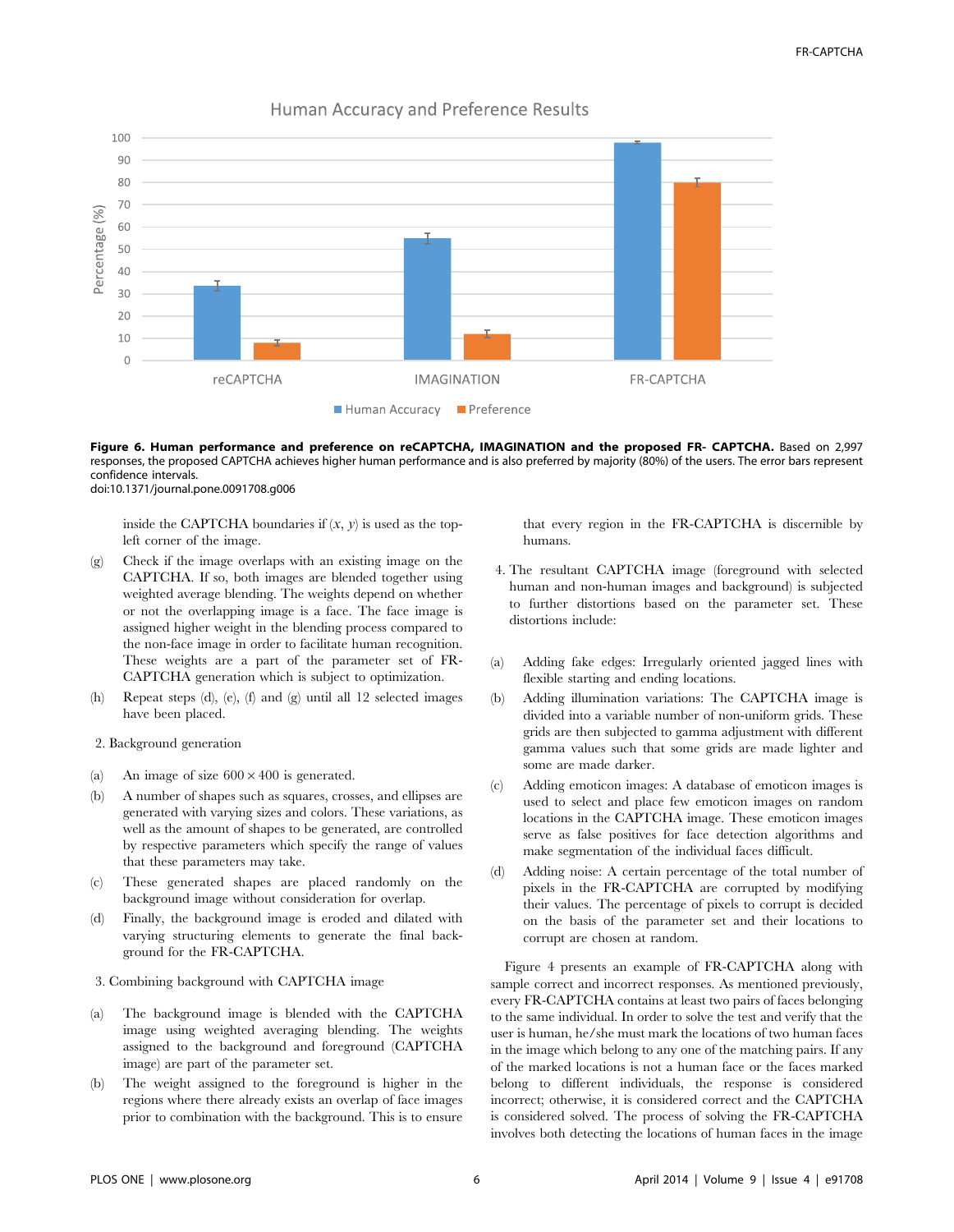

# **Human Accuracy and Preference Results**

Figure 6. Human performance and preference on reCAPTCHA, IMAGINATION and the proposed FR- CAPTCHA. Based on 2,997 responses, the proposed CAPTCHA achieves higher human performance and is also preferred by majority (80%) of the users. The error bars represent confidence intervals. doi:10.1371/journal.pone.0091708.g006

inside the CAPTCHA boundaries if  $(x, y)$  is used as the topleft corner of the image.

- (g) Check if the image overlaps with an existing image on the CAPTCHA. If so, both images are blended together using weighted average blending. The weights depend on whether or not the overlapping image is a face. The face image is assigned higher weight in the blending process compared to the non-face image in order to facilitate human recognition. These weights are a part of the parameter set of FR-CAPTCHA generation which is subject to optimization.
- (h) Repeat steps (d), (e), (f) and (g) until all 12 selected images have been placed.
- 2. Background generation
- (a) An image of size  $600 \times 400$  is generated.
- (b) A number of shapes such as squares, crosses, and ellipses are generated with varying sizes and colors. These variations, as well as the amount of shapes to be generated, are controlled by respective parameters which specify the range of values that these parameters may take.
- (c) These generated shapes are placed randomly on the background image without consideration for overlap.
- (d) Finally, the background image is eroded and dilated with varying structuring elements to generate the final background for the FR-CAPTCHA.
- 3. Combining background with CAPTCHA image
- (a) The background image is blended with the CAPTCHA image using weighted averaging blending. The weights assigned to the background and foreground (CAPTCHA image) are part of the parameter set.
- (b) The weight assigned to the foreground is higher in the regions where there already exists an overlap of face images prior to combination with the background. This is to ensure

that every region in the FR-CAPTCHA is discernible by humans.

- 4. The resultant CAPTCHA image (foreground with selected human and non-human images and background) is subjected to further distortions based on the parameter set. These distortions include:
- (a) Adding fake edges: Irregularly oriented jagged lines with flexible starting and ending locations.
- (b) Adding illumination variations: The CAPTCHA image is divided into a variable number of non-uniform grids. These grids are then subjected to gamma adjustment with different gamma values such that some grids are made lighter and some are made darker.
- (c) Adding emoticon images: A database of emoticon images is used to select and place few emoticon images on random locations in the CAPTCHA image. These emoticon images serve as false positives for face detection algorithms and make segmentation of the individual faces difficult.
- (d) Adding noise: A certain percentage of the total number of pixels in the FR-CAPTCHA are corrupted by modifying their values. The percentage of pixels to corrupt is decided on the basis of the parameter set and their locations to corrupt are chosen at random.

Figure 4 presents an example of FR-CAPTCHA along with sample correct and incorrect responses. As mentioned previously, every FR-CAPTCHA contains at least two pairs of faces belonging to the same individual. In order to solve the test and verify that the user is human, he/she must mark the locations of two human faces in the image which belong to any one of the matching pairs. If any of the marked locations is not a human face or the faces marked belong to different individuals, the response is considered incorrect; otherwise, it is considered correct and the CAPTCHA is considered solved. The process of solving the FR-CAPTCHA involves both detecting the locations of human faces in the image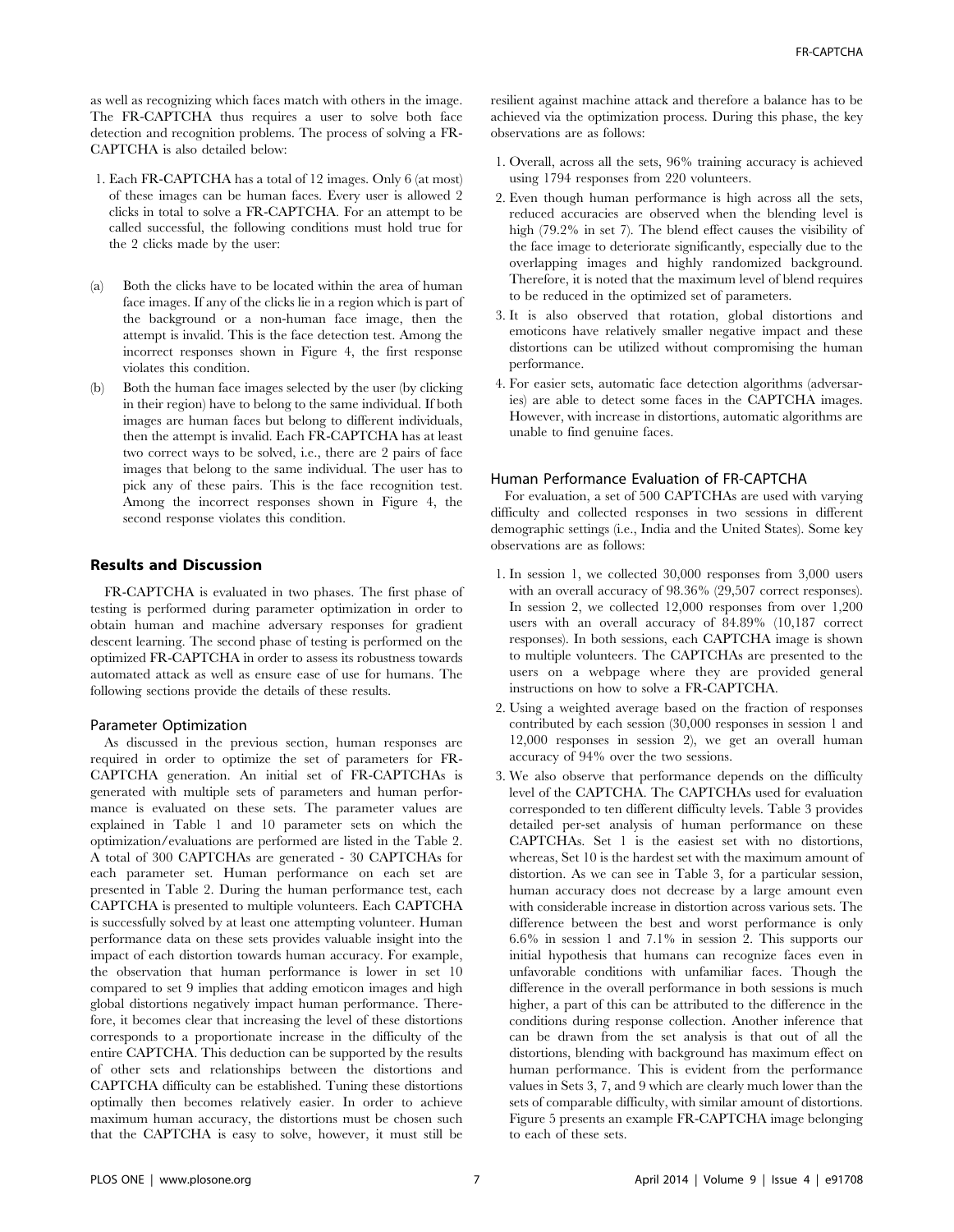as well as recognizing which faces match with others in the image. The FR-CAPTCHA thus requires a user to solve both face detection and recognition problems. The process of solving a FR-CAPTCHA is also detailed below:

- 1. Each FR-CAPTCHA has a total of 12 images. Only 6 (at most) of these images can be human faces. Every user is allowed 2 clicks in total to solve a FR-CAPTCHA. For an attempt to be called successful, the following conditions must hold true for the 2 clicks made by the user:
- (a) Both the clicks have to be located within the area of human face images. If any of the clicks lie in a region which is part of the background or a non-human face image, then the attempt is invalid. This is the face detection test. Among the incorrect responses shown in Figure 4, the first response violates this condition.
- (b) Both the human face images selected by the user (by clicking in their region) have to belong to the same individual. If both images are human faces but belong to different individuals, then the attempt is invalid. Each FR-CAPTCHA has at least two correct ways to be solved, i.e., there are 2 pairs of face images that belong to the same individual. The user has to pick any of these pairs. This is the face recognition test. Among the incorrect responses shown in Figure 4, the second response violates this condition.

#### Results and Discussion

FR-CAPTCHA is evaluated in two phases. The first phase of testing is performed during parameter optimization in order to obtain human and machine adversary responses for gradient descent learning. The second phase of testing is performed on the optimized FR-CAPTCHA in order to assess its robustness towards automated attack as well as ensure ease of use for humans. The following sections provide the details of these results.

#### Parameter Optimization

As discussed in the previous section, human responses are required in order to optimize the set of parameters for FR-CAPTCHA generation. An initial set of FR-CAPTCHAs is generated with multiple sets of parameters and human performance is evaluated on these sets. The parameter values are explained in Table 1 and 10 parameter sets on which the optimization/evaluations are performed are listed in the Table 2. A total of 300 CAPTCHAs are generated - 30 CAPTCHAs for each parameter set. Human performance on each set are presented in Table 2. During the human performance test, each CAPTCHA is presented to multiple volunteers. Each CAPTCHA is successfully solved by at least one attempting volunteer. Human performance data on these sets provides valuable insight into the impact of each distortion towards human accuracy. For example, the observation that human performance is lower in set 10 compared to set 9 implies that adding emoticon images and high global distortions negatively impact human performance. Therefore, it becomes clear that increasing the level of these distortions corresponds to a proportionate increase in the difficulty of the entire CAPTCHA. This deduction can be supported by the results of other sets and relationships between the distortions and CAPTCHA difficulty can be established. Tuning these distortions optimally then becomes relatively easier. In order to achieve maximum human accuracy, the distortions must be chosen such that the CAPTCHA is easy to solve, however, it must still be

resilient against machine attack and therefore a balance has to be achieved via the optimization process. During this phase, the key observations are as follows:

- 1. Overall, across all the sets, 96% training accuracy is achieved using 1794 responses from 220 volunteers.
- 2. Even though human performance is high across all the sets, reduced accuracies are observed when the blending level is high (79.2% in set 7). The blend effect causes the visibility of the face image to deteriorate significantly, especially due to the overlapping images and highly randomized background. Therefore, it is noted that the maximum level of blend requires to be reduced in the optimized set of parameters.
- 3. It is also observed that rotation, global distortions and emoticons have relatively smaller negative impact and these distortions can be utilized without compromising the human performance.
- 4. For easier sets, automatic face detection algorithms (adversaries) are able to detect some faces in the CAPTCHA images. However, with increase in distortions, automatic algorithms are unable to find genuine faces.

#### Human Performance Evaluation of FR-CAPTCHA

For evaluation, a set of 500 CAPTCHAs are used with varying difficulty and collected responses in two sessions in different demographic settings (i.e., India and the United States). Some key observations are as follows:

- 1. In session 1, we collected 30,000 responses from 3,000 users with an overall accuracy of 98.36% (29,507 correct responses). In session 2, we collected 12,000 responses from over 1,200 users with an overall accuracy of 84.89% (10,187 correct responses). In both sessions, each CAPTCHA image is shown to multiple volunteers. The CAPTCHAs are presented to the users on a webpage where they are provided general instructions on how to solve a FR-CAPTCHA.
- 2. Using a weighted average based on the fraction of responses contributed by each session (30,000 responses in session 1 and 12,000 responses in session 2), we get an overall human accuracy of 94% over the two sessions.
- 3. We also observe that performance depends on the difficulty level of the CAPTCHA. The CAPTCHAs used for evaluation corresponded to ten different difficulty levels. Table 3 provides detailed per-set analysis of human performance on these CAPTCHAs. Set 1 is the easiest set with no distortions, whereas, Set 10 is the hardest set with the maximum amount of distortion. As we can see in Table 3, for a particular session, human accuracy does not decrease by a large amount even with considerable increase in distortion across various sets. The difference between the best and worst performance is only 6.6% in session 1 and 7.1% in session 2. This supports our initial hypothesis that humans can recognize faces even in unfavorable conditions with unfamiliar faces. Though the difference in the overall performance in both sessions is much higher, a part of this can be attributed to the difference in the conditions during response collection. Another inference that can be drawn from the set analysis is that out of all the distortions, blending with background has maximum effect on human performance. This is evident from the performance values in Sets 3, 7, and 9 which are clearly much lower than the sets of comparable difficulty, with similar amount of distortions. Figure 5 presents an example FR-CAPTCHA image belonging to each of these sets.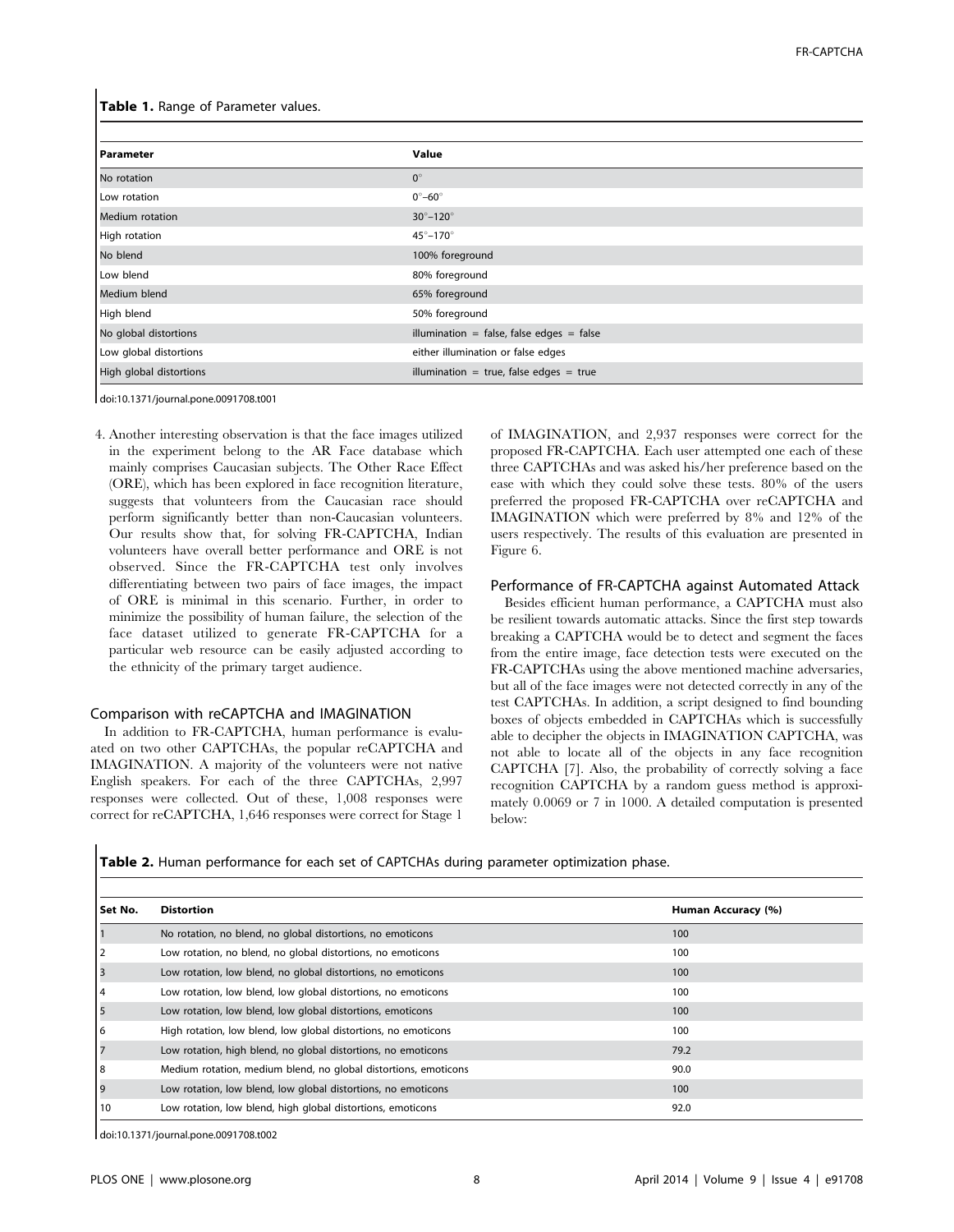#### Table 1. Range of Parameter values.

| Parameter               | Value                                     |
|-------------------------|-------------------------------------------|
| No rotation             | $0^{\circ}$                               |
| Low rotation            | $0^\circ - 60^\circ$                      |
| Medium rotation         | $30^\circ - 120^\circ$                    |
| High rotation           | $45^\circ - 170^\circ$                    |
| No blend                | 100% foreground                           |
| Low blend               | 80% foreground                            |
| Medium blend            | 65% foreground                            |
| High blend              | 50% foreground                            |
| No global distortions   | illumination = false, false edges = false |
| Low global distortions  | either illumination or false edges        |
| High global distortions | illumination = true, false edges = true   |

doi:10.1371/journal.pone.0091708.t001

4. Another interesting observation is that the face images utilized in the experiment belong to the AR Face database which mainly comprises Caucasian subjects. The Other Race Effect (ORE), which has been explored in face recognition literature, suggests that volunteers from the Caucasian race should perform significantly better than non-Caucasian volunteers. Our results show that, for solving FR-CAPTCHA, Indian volunteers have overall better performance and ORE is not observed. Since the FR-CAPTCHA test only involves differentiating between two pairs of face images, the impact of ORE is minimal in this scenario. Further, in order to minimize the possibility of human failure, the selection of the face dataset utilized to generate FR-CAPTCHA for a particular web resource can be easily adjusted according to the ethnicity of the primary target audience.

#### Comparison with reCAPTCHA and IMAGINATION

In addition to FR-CAPTCHA, human performance is evaluated on two other CAPTCHAs, the popular reCAPTCHA and IMAGINATION. A majority of the volunteers were not native English speakers. For each of the three CAPTCHAs, 2,997 responses were collected. Out of these, 1,008 responses were correct for reCAPTCHA, 1,646 responses were correct for Stage 1 of IMAGINATION, and 2,937 responses were correct for the proposed FR-CAPTCHA. Each user attempted one each of these three CAPTCHAs and was asked his/her preference based on the ease with which they could solve these tests. 80% of the users preferred the proposed FR-CAPTCHA over reCAPTCHA and IMAGINATION which were preferred by 8% and 12% of the users respectively. The results of this evaluation are presented in Figure 6.

#### Performance of FR-CAPTCHA against Automated Attack

Besides efficient human performance, a CAPTCHA must also be resilient towards automatic attacks. Since the first step towards breaking a CAPTCHA would be to detect and segment the faces from the entire image, face detection tests were executed on the FR-CAPTCHAs using the above mentioned machine adversaries, but all of the face images were not detected correctly in any of the test CAPTCHAs. In addition, a script designed to find bounding boxes of objects embedded in CAPTCHAs which is successfully able to decipher the objects in IMAGINATION CAPTCHA, was not able to locate all of the objects in any face recognition CAPTCHA [7]. Also, the probability of correctly solving a face recognition CAPTCHA by a random guess method is approximately 0.0069 or 7 in 1000. A detailed computation is presented below:

Table 2. Human performance for each set of CAPTCHAs during parameter optimization phase.

| l Set No.      | <b>Distortion</b>                                               | Human Accuracy (%) |
|----------------|-----------------------------------------------------------------|--------------------|
|                | No rotation, no blend, no global distortions, no emoticons      | 100                |
| $\overline{2}$ | Low rotation, no blend, no global distortions, no emoticons     | 100                |
| 3              | Low rotation, low blend, no global distortions, no emoticons    | 100                |
| 14             | Low rotation, low blend, low global distortions, no emoticons   | 100                |
| 5              | Low rotation, low blend, low global distortions, emoticons      | 100                |
| 16             | High rotation, low blend, low global distortions, no emoticons  | 100                |
| 7              | Low rotation, high blend, no global distortions, no emoticons   | 79.2               |
| 8              | Medium rotation, medium blend, no global distortions, emoticons | 90.0               |
| 19             | Low rotation, low blend, low global distortions, no emoticons   | 100                |
| 10             | Low rotation, low blend, high global distortions, emoticons     | 92.0               |

doi:10.1371/journal.pone.0091708.t002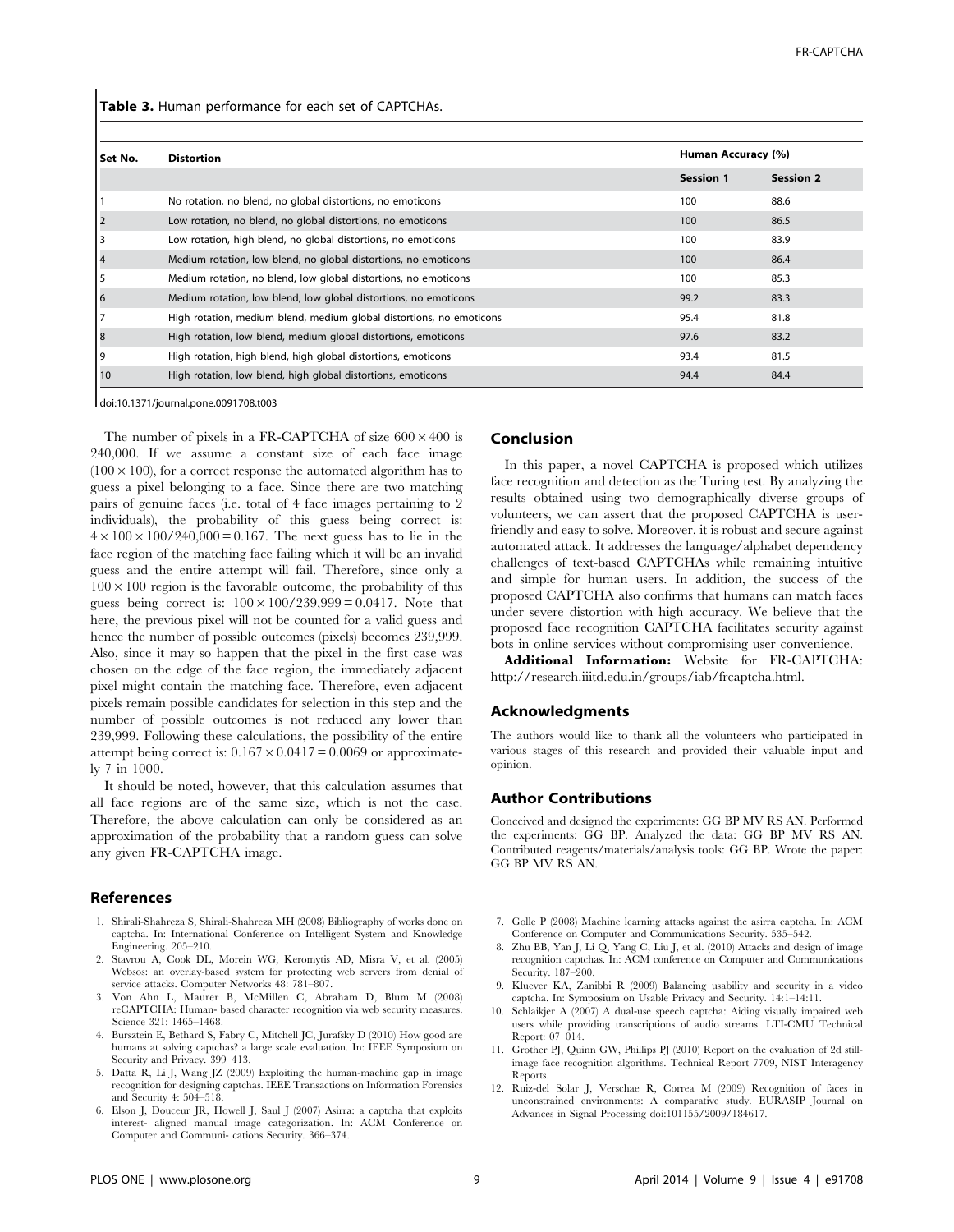Table 3. Human performance for each set of CAPTCHAs.

| Set No. | <b>Distortion</b>                                                    |                  | Human Accuracy (%) |  |
|---------|----------------------------------------------------------------------|------------------|--------------------|--|
|         |                                                                      | <b>Session 1</b> | <b>Session 2</b>   |  |
|         | No rotation, no blend, no global distortions, no emoticons           | 100              | 88.6               |  |
|         | Low rotation, no blend, no global distortions, no emoticons          | 100              | 86.5               |  |
|         | Low rotation, high blend, no global distortions, no emoticons        | 100              | 83.9               |  |
|         | Medium rotation, low blend, no global distortions, no emoticons      | 100              | 86.4               |  |
| -5      | Medium rotation, no blend, low global distortions, no emoticons      | 100              | 85.3               |  |
| 6       | Medium rotation, low blend, low global distortions, no emoticons     | 99.2             | 83.3               |  |
|         | High rotation, medium blend, medium global distortions, no emoticons | 95.4             | 81.8               |  |
| 8       | High rotation, low blend, medium global distortions, emoticons       | 97.6             | 83.2               |  |
| 9       | High rotation, high blend, high global distortions, emoticons        | 93.4             | 81.5               |  |
| 10      | High rotation, low blend, high global distortions, emoticons         | 94.4             | 84.4               |  |

doi:10.1371/journal.pone.0091708.t003

The number of pixels in a FR-CAPTCHA of size  $600 \times 400$  is 240,000. If we assume a constant size of each face image  $(100 \times 100)$ , for a correct response the automated algorithm has to guess a pixel belonging to a face. Since there are two matching pairs of genuine faces (i.e. total of 4 face images pertaining to 2 individuals), the probability of this guess being correct is:  $4 \times 100 \times 100/240,000 = 0.167$ . The next guess has to lie in the face region of the matching face failing which it will be an invalid guess and the entire attempt will fail. Therefore, since only a  $100 \times 100$  region is the favorable outcome, the probability of this guess being correct is:  $100 \times 100/239,999 = 0.0417$ . Note that here, the previous pixel will not be counted for a valid guess and hence the number of possible outcomes (pixels) becomes 239,999. Also, since it may so happen that the pixel in the first case was chosen on the edge of the face region, the immediately adjacent pixel might contain the matching face. Therefore, even adjacent pixels remain possible candidates for selection in this step and the number of possible outcomes is not reduced any lower than 239,999. Following these calculations, the possibility of the entire attempt being correct is:  $0.167 \times 0.0417 = 0.0069$  or approximately 7 in 1000.

It should be noted, however, that this calculation assumes that all face regions are of the same size, which is not the case. Therefore, the above calculation can only be considered as an approximation of the probability that a random guess can solve any given FR-CAPTCHA image.

# References

- 1. Shirali-Shahreza S, Shirali-Shahreza MH (2008) Bibliography of works done on captcha. In: International Conference on Intelligent System and Knowledge Engineering. 205–210.
- 2. Stavrou A, Cook DL, Morein WG, Keromytis AD, Misra V, et al. (2005) Websos: an overlay-based system for protecting web servers from denial of service attacks. Computer Networks 48: 781–807.
- 3. Von Ahn L, Maurer B, McMillen C, Abraham D, Blum M (2008) reCAPTCHA: Human- based character recognition via web security measures. Science 321: 1465–1468.
- 4. Bursztein E, Bethard S, Fabry C, Mitchell JC, Jurafsky D (2010) How good are humans at solving captchas? a large scale evaluation. In: IEEE Symposium on Security and Privacy. 399–413.
- 5. Datta R, Li J, Wang JZ (2009) Exploiting the human-machine gap in image recognition for designing captchas. IEEE Transactions on Information Forensics and Security 4: 504–518.
- 6. Elson J, Douceur JR, Howell J, Saul J (2007) Asirra: a captcha that exploits interest- aligned manual image categorization. In: ACM Conference on Computer and Communi- cations Security. 366–374.

#### Conclusion

In this paper, a novel CAPTCHA is proposed which utilizes face recognition and detection as the Turing test. By analyzing the results obtained using two demographically diverse groups of volunteers, we can assert that the proposed CAPTCHA is userfriendly and easy to solve. Moreover, it is robust and secure against automated attack. It addresses the language/alphabet dependency challenges of text-based CAPTCHAs while remaining intuitive and simple for human users. In addition, the success of the proposed CAPTCHA also confirms that humans can match faces under severe distortion with high accuracy. We believe that the proposed face recognition CAPTCHA facilitates security against bots in online services without compromising user convenience.

Additional Information: Website for FR-CAPTCHA: http://research.iiitd.edu.in/groups/iab/frcaptcha.html.

## Acknowledgments

The authors would like to thank all the volunteers who participated in various stages of this research and provided their valuable input and opinion.

# Author Contributions

Conceived and designed the experiments: GG BP MV RS AN. Performed the experiments: GG BP. Analyzed the data: GG BP MV RS AN. Contributed reagents/materials/analysis tools: GG BP. Wrote the paper: GG BP MV RS AN.

- 7. Golle P (2008) Machine learning attacks against the asirra captcha. In: ACM Conference on Computer and Communications Security. 535–542.
- 8. Zhu BB, Yan J, Li Q, Yang C, Liu J, et al. (2010) Attacks and design of image recognition captchas. In: ACM conference on Computer and Communications Security. 187–200.
- 9. Kluever KA, Zanibbi R (2009) Balancing usability and security in a video captcha. In: Symposium on Usable Privacy and Security. 14:1–14:11.
- 10. Schlaikjer A (2007) A dual-use speech captcha: Aiding visually impaired web users while providing transcriptions of audio streams. LTI-CMU Technical Report: 07–014.
- 11. Grother PJ, Quinn GW, Phillips PJ (2010) Report on the evaluation of 2d stillimage face recognition algorithms. Technical Report 7709, NIST Interagency Reports.
- 12. Ruiz-del Solar J, Verschae R, Correa M (2009) Recognition of faces in unconstrained environments: A comparative study. EURASIP Journal on Advances in Signal Processing doi:101155/2009/184617.